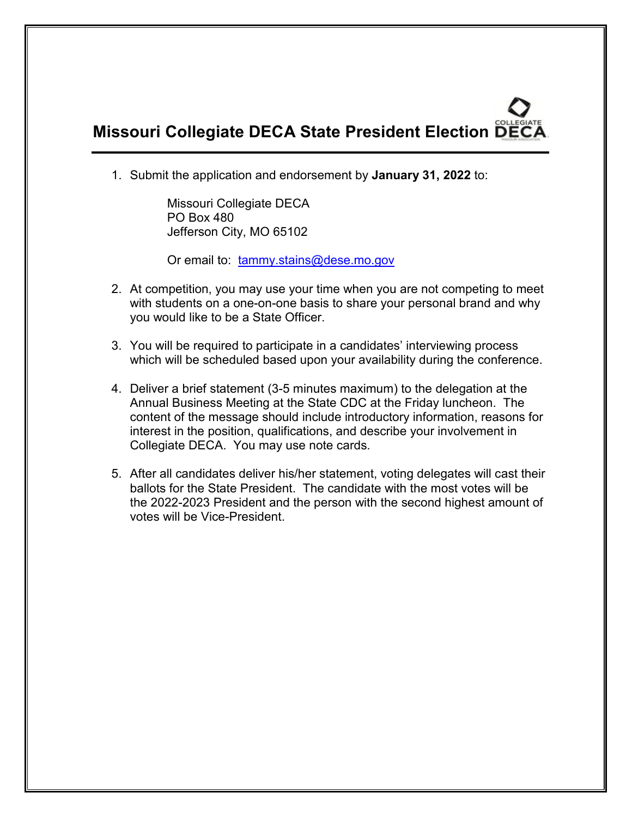## **Missouri Collegiate DECA State President Election**

1. Submit the application and endorsement by **January 31, 2022** to:

Missouri Collegiate DECA PO Box 480 Jefferson City, MO 65102

Or email to: [tammy.stains@dese.mo.gov](mailto:tammy.stains@dese.mo.gov)

- 2. At competition, you may use your time when you are not competing to meet with students on a one-on-one basis to share your personal brand and why you would like to be a State Officer.
- 3. You will be required to participate in a candidates' interviewing process which will be scheduled based upon your availability during the conference.
- 4. Deliver a brief statement (3-5 minutes maximum) to the delegation at the Annual Business Meeting at the State CDC at the Friday luncheon. The content of the message should include introductory information, reasons for interest in the position, qualifications, and describe your involvement in Collegiate DECA. You may use note cards.
- 5. After all candidates deliver his/her statement, voting delegates will cast their ballots for the State President. The candidate with the most votes will be the 2022-2023 President and the person with the second highest amount of votes will be Vice-President.